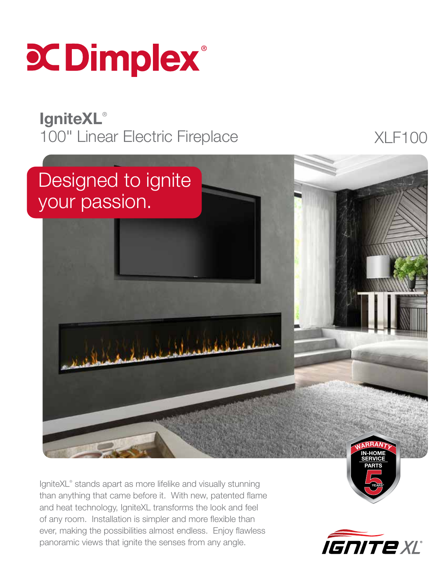

### **IgniteXL®** 100" Linear Electric Fireplace XLF100



IgniteXL® stands apart as more lifelike and visually stunning than anything that came before it. With new, patented flame and heat technology, IgniteXL transforms the look and feel of any room. Installation is simpler and more flexible than ever, making the possibilities almost endless. Enjoy flawless panoramic views that ignite the senses from any angle.



YEARS\*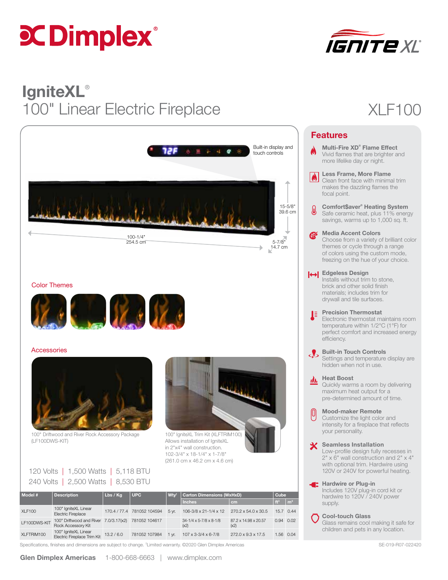# **C Dimplex**®



# **IgniteXL®** 100" Linear Electric Fireplace XLF100



### Color Themes



### **Accessories**



100" Driftwood and River Rock Accessory Package (LF100DWS-KIT)



100" IgniteXL Trim Kit (XLFTRIM100) Allows installation of IgniteXL in 2"x4" wall construction. 102-3/4" x 18-1/4" x 1-7/8" (261.0 cm x 46.2 cm x 4.6 cm)

| 120 Volts   1,500 Watts   5,118 BTU |  |
|-------------------------------------|--|
| 240 Volts   2,500 Watts   8,530 BTU |  |

| Model #       | <b>Description</b>                                                        | Lbs/Kg     | l UPC-                     | W <sub>tv</sub><br><b>Carton Dimensions (WxHxD)</b> |                                                  |                              | Cube            |                |
|---------------|---------------------------------------------------------------------------|------------|----------------------------|-----------------------------------------------------|--------------------------------------------------|------------------------------|-----------------|----------------|
|               |                                                                           |            |                            |                                                     | <b>Inches</b>                                    | cm                           | ft <sup>3</sup> | m <sup>3</sup> |
| <b>XLF100</b> | 100" IgniteXL Linear<br><b>Electric Fireplace</b>                         |            | 170.4 / 77.4 781052 104594 | 5 vr.                                               | $106 - 3/8 \times 21 - 1/4 \times 12$            | 270.2 x 54.0 x 30.5          | 15.7 0.44       |                |
| LF100DWS-KIT  | 100" Driftwood and River 7.0/3.17(x2) 781052 104617<br>Rock Accessory Kit |            |                            |                                                     | $34 - 1/4 \times 5 - 7/8 \times 8 - 1/8$<br>(x2) | 87.2 x 14.98 x 20.57<br>(x2) | 0.94 0.02       |                |
| XLFTRIM100    | 100" IgniteXL Linear<br>Electric Fireplace Trim Kit                       | 13.2 / 6.0 | 781052 107984              | $1 \text{ yr}$ .                                    | $107 \times 3 - 3/4 \times 6 - 7/8$              | 272.0 x 9.3 x 17.5           |                 | 1.56 0.04      |

Specifications, finishes and dimensions are subject to change. <sup>†</sup>Limited warranty. ©2020 Glen Dimplex Americas SE-019 FOT-022420 SE-019-R07-022420

| <b>Features</b>  |                                                                                                                                                                                                         |  |  |  |  |
|------------------|---------------------------------------------------------------------------------------------------------------------------------------------------------------------------------------------------------|--|--|--|--|
|                  | Multi-Fire XD <sup>®</sup> Flame Effect<br>Vivid flames that are brighter and<br>more lifelike day or night.                                                                                            |  |  |  |  |
| $\blacktriangle$ | <b>Less Frame, More Flame</b><br>Clean front face with minimal trim<br>makes the dazzling flames the<br>focal point.                                                                                    |  |  |  |  |
| ♨                | Comfort\$aver® Heating System<br>Safe ceramic heat, plus 11% energy<br>savings, warms up to 1,000 sq. ft.                                                                                               |  |  |  |  |
| EK 1             | <b>Media Accent Colors</b><br>Choose from a variety of brilliant color<br>themes or cycle through a range<br>of colors using the custom mode,<br>freezing on the hue of your choice.                    |  |  |  |  |
|                  | Helgeless Design<br>Installs without trim to stone,<br>brick and other solid finish<br>materials; includes trim for<br>drywall and tile surfaces.                                                       |  |  |  |  |
| JE.              | <b>Precision Thermostat</b><br>Electronic thermostat maintains room<br>temperature within 1/2°C (1°F) for<br>perfect comfort and increased energy<br>efficiency.                                        |  |  |  |  |
|                  | <b>Built-in Touch Controls</b><br>Settings and temperature display are<br>hidden when not in use.                                                                                                       |  |  |  |  |
|                  | <b>Heat Boost</b><br>Quickly warms a room by delivering<br>maximum heat output for a<br>pre-determined amount of time.                                                                                  |  |  |  |  |
| 0                | <b>Mood-maker Remote</b><br>Customize the light color and<br>intensity for a fireplace that reflects<br>your personality.                                                                               |  |  |  |  |
|                  | <b>Seamless Installation</b><br>Low-profile design fully recesses in<br>$2" \times 6"$ wall construction and $2" \times 4"$<br>with optional trim. Hardwire using<br>120V or 240V for powerful heating. |  |  |  |  |
| Œ                | <b>Hardwire or Plug-in</b><br>Includes 120V plug-in cord kit or<br>hardwire to 120V / 240V power<br>supply.                                                                                             |  |  |  |  |
|                  | Cool-touch Glass                                                                                                                                                                                        |  |  |  |  |

Glass remains cool making it safe for children and pets in any location.